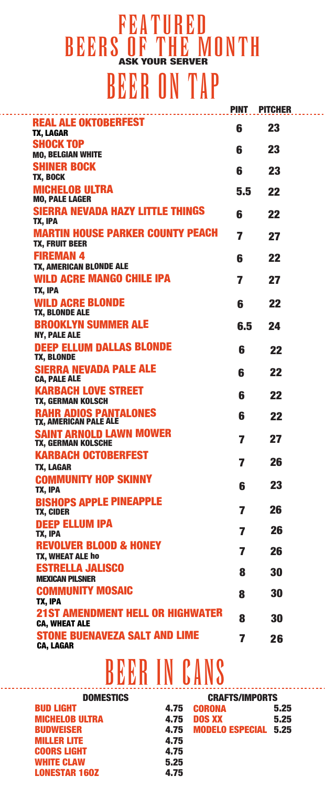## BEER ON TAP **FEATURED** BEERS OF THE MONTH

|                                                                  | <b>PINT</b>    | <b>PITCHER</b> |
|------------------------------------------------------------------|----------------|----------------|
| <b>REAL ALE OKTOBERFEST</b><br>TX, LAGAR                         | 6              | 23             |
| <b>SHOCK TOP</b>                                                 | 6              | 23             |
| <b>MO, BELGIAN WHITE</b><br><b>SHINER BOCK</b>                   |                |                |
| TX, BOCK                                                         | 6              | 23             |
| <b>MICHELOB ULTRA</b>                                            | 5.5            | 22             |
| <b>MO, PALE LAGER</b><br><b>SIERRA NEVADA HAZY LITTLE THINGS</b> |                |                |
| TX, IPA                                                          | 6              | 22             |
| <b>MARTIN HOUSE PARKER COUNTY PEACH</b>                          | $\overline{7}$ | 27             |
| <b>TX, FRUIT BEER</b><br><b>FIREMAN 4</b>                        |                |                |
| TX, AMERICAN BLONDE ALE                                          | 6              | 22             |
| <b>WILD ACRE MANGO CHILE IPA</b>                                 | 7              | 27             |
| TX, IPA                                                          |                |                |
| <b>WILD ACRE BLONDE</b><br>TX, BLONDE ALE                        | 6              | 22             |
| <b>BROOKLYN SUMMER ALE</b>                                       | 6.5            | 24             |
| <b>NY, PALE ALE</b>                                              |                |                |
| <b>DEEP ELLUM DALLAS BLONDE</b><br>TX, BLONDE                    | 6              | 22             |
| <b>SIERRA NEVADA PALE ALE</b><br><b>CA, PALE ALE</b>             | 6              | 22             |
| <b>KARBACH LOVE STREET</b><br><b>TX, GERMAN KOLSCH</b>           | 6              | 22             |
| <b>RAHR ADIOS PANTALONES</b><br><b>TX, AMERICAN PALE ALE</b>     | 6              | 22             |
| <b>SAINT ARNOLD LAWN MOWER</b><br>TX, GERMAN KOLSCHE             | 7              | 27             |
| <b>KARBACH OCTOBERFEST</b>                                       |                | 26             |
| TX, LAGAR                                                        | 7              |                |
| <b>COMMUNITY HOP SKINNY</b><br>TX, IPA                           | 6              | 23             |
| <b>BISHOPS APPLE PINEAPPLE</b><br>TX, CIDER                      | 7              | 26             |
| <b>DEEP ELLUM IPA</b><br>TX, IPA                                 | 7              | 26             |
| <b>REVOLVER BLOOD &amp; HONEY</b>                                | 7              | 26             |
| <b>TX, WHEAT ALE ho</b><br><b>ESTRELLA JALISCO</b>               |                |                |
| <b>MEXICAN PILSNER</b>                                           | 8              | 30             |
| <b>COMMUNITY MOSAIC</b><br>TX, IPA                               | 8              | 30             |
| <b>21ST AMENDMENT HELL OR HIGHWATER</b>                          |                |                |
| <b>CA, WHEAT ALE</b>                                             | 8              | 30             |
| <b>STONE BUENAVEZA SALT AND LIME</b><br><b>CA, LAGAR</b>         | 7              | 26             |
|                                                                  |                |                |

## BEER IN CANS

| <b>DOMESTICS</b>      | <b>CRAFTS/IMPORTS</b> |                             |      |
|-----------------------|-----------------------|-----------------------------|------|
| <b>BUD LIGHT</b>      | 4.75                  | <b>CORONA</b>               | 5.25 |
| <b>MICHELOB ULTRA</b> | 4.75                  | <b>DOS XX</b>               | 5.25 |
| <b>BUDWEISER</b>      | 4.75                  | <b>MODELO ESPECIAL 5.25</b> |      |
| <b>MILLER LITE</b>    | 4.75                  |                             |      |
| <b>COORS LIGHT</b>    | 4.75                  |                             |      |
| <b>WHITE CLAW</b>     | 5.25                  |                             |      |
| <b>LONESTAR 160Z</b>  | 4.75                  |                             |      |